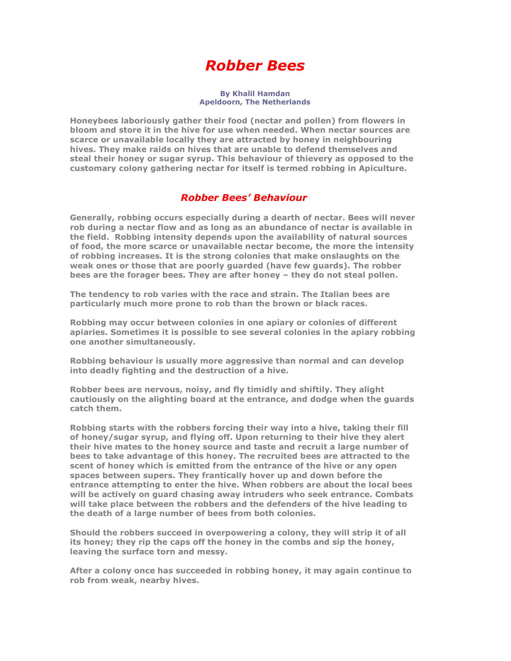# Robber Bees

#### By Khalil Hamdan Apeldoorn, The Netherlands

Honeybees laboriously gather their food (nectar and pollen) from flowers in bloom and store it in the hive for use when needed. When nectar sources are scarce or unavailable locally they are attracted by honey in neighbouring hives. They make raids on hives that are unable to defend themselves and steal their honey or sugar syrup. This behaviour of thievery as opposed to the customary colony gathering nectar for itself is termed robbing in Apiculture.

#### Robber Bees' Behaviour

Generally, robbing occurs especially during a dearth of nectar. Bees will never rob during a nectar flow and as long as an abundance of nectar is available in the field. Robbing intensity depends upon the availability of natural sources of food, the more scarce or unavailable nectar become, the more the intensity of robbing increases. It is the strong colonies that make onslaughts on the weak ones or those that are poorly guarded (have few guards). The robber bees are the forager bees. They are after honey – they do not steal pollen.

The tendency to rob varies with the race and strain. The Italian bees are particularly much more prone to rob than the brown or black races.

Robbing may occur between colonies in one apiary or colonies of different apiaries. Sometimes it is possible to see several colonies in the apiary robbing one another simultaneously.

Robbing behaviour is usually more aggressive than normal and can develop into deadly fighting and the destruction of a hive.

Robber bees are nervous, noisy, and fly timidly and shiftily. They alight cautiously on the alighting board at the entrance, and dodge when the guards catch them.

Robbing starts with the robbers forcing their way into a hive, taking their fill of honey/sugar syrup, and flying off. Upon returning to their hive they alert their hive mates to the honey source and taste and recruit a large number of bees to take advantage of this honey. The recruited bees are attracted to the scent of honey which is emitted from the entrance of the hive or any open spaces between supers. They frantically hover up and down before the entrance attempting to enter the hive. When robbers are about the local bees will be actively on guard chasing away intruders who seek entrance. Combats will take place between the robbers and the defenders of the hive leading to the death of a large number of bees from both colonies.

Should the robbers succeed in overpowering a colony, they will strip it of all its honey; they rip the caps off the honey in the combs and sip the honey, leaving the surface torn and messy.

After a colony once has succeeded in robbing honey, it may again continue to rob from weak, nearby hives.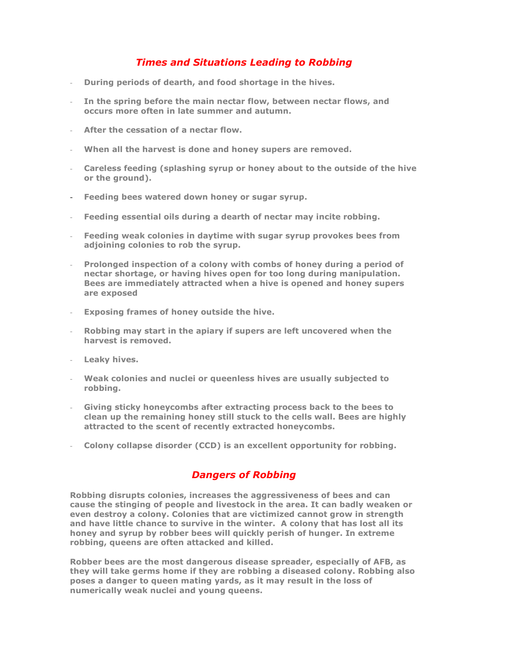## Times and Situations Leading to Robbing

- During periods of dearth, and food shortage in the hives.
- In the spring before the main nectar flow, between nectar flows, and occurs more often in late summer and autumn.
- After the cessation of a nectar flow.
- When all the harvest is done and honey supers are removed.
- Careless feeding (splashing syrup or honey about to the outside of the hive or the ground).
- Feeding bees watered down honey or sugar syrup.
- Feeding essential oils during a dearth of nectar may incite robbing.
- Feeding weak colonies in daytime with sugar syrup provokes bees from adjoining colonies to rob the syrup.
- Prolonged inspection of a colony with combs of honey during a period of nectar shortage, or having hives open for too long during manipulation. Bees are immediately attracted when a hive is opened and honey supers are exposed
- Exposing frames of honey outside the hive.
- Robbing may start in the apiary if supers are left uncovered when the harvest is removed.
- Leaky hives.
- Weak colonies and nuclei or queenless hives are usually subjected to robbing.
- Giving sticky honeycombs after extracting process back to the bees to clean up the remaining honey still stuck to the cells wall. Bees are highly attracted to the scent of recently extracted honeycombs.
- Colony collapse disorder (CCD) is an excellent opportunity for robbing.

# Dangers of Robbing

Robbing disrupts colonies, increases the aggressiveness of bees and can cause the stinging of people and livestock in the area. It can badly weaken or even destroy a colony. Colonies that are victimized cannot grow in strength and have little chance to survive in the winter. A colony that has lost all its honey and syrup by robber bees will quickly perish of hunger. In extreme robbing, queens are often attacked and killed.

Robber bees are the most dangerous disease spreader, especially of AFB, as they will take germs home if they are robbing a diseased colony. Robbing also poses a danger to queen mating yards, as it may result in the loss of numerically weak nuclei and young queens.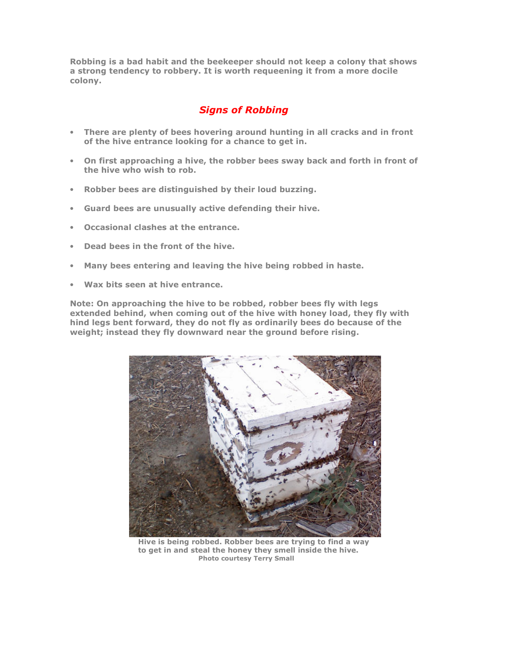Robbing is a bad habit and the beekeeper should not keep a colony that shows a strong tendency to robbery. It is worth requeening it from a more docile colony.

### Signs of Robbing

- There are plenty of bees hovering around hunting in all cracks and in front of the hive entrance looking for a chance to get in.
- On first approaching a hive, the robber bees sway back and forth in front of the hive who wish to rob.
- Robber bees are distinguished by their loud buzzing.
- Guard bees are unusually active defending their hive.
- Occasional clashes at the entrance.
- Dead bees in the front of the hive.
- Many bees entering and leaving the hive being robbed in haste.
- Wax bits seen at hive entrance.

Note: On approaching the hive to be robbed, robber bees fly with legs extended behind, when coming out of the hive with honey load, they fly with hind legs bent forward, they do not fly as ordinarily bees do because of the weight; instead they fly downward near the ground before rising.



 Hive is being robbed. Robber bees are trying to find a way to get in and steal the honey they smell inside the hive. Photo courtesy Terry Small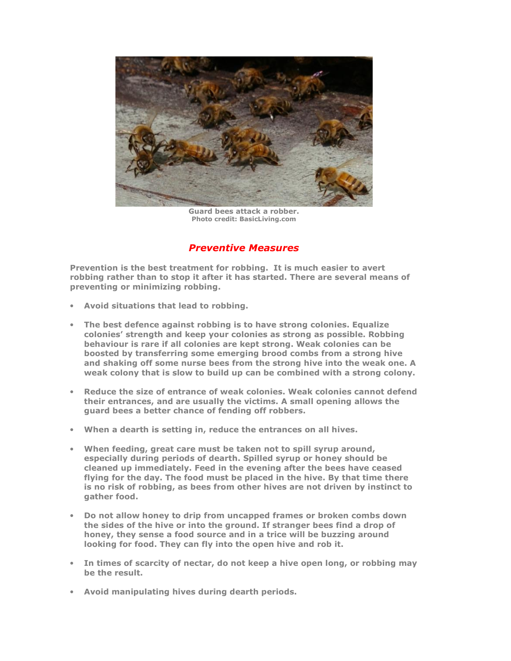

Guard bees attack a robber. Photo credit: BasicLiving.com

### Preventive Measures

Prevention is the best treatment for robbing. It is much easier to avert robbing rather than to stop it after it has started. There are several means of preventing or minimizing robbing.

- Avoid situations that lead to robbing.
- The best defence against robbing is to have strong colonies. Equalize colonies' strength and keep your colonies as strong as possible. Robbing behaviour is rare if all colonies are kept strong. Weak colonies can be boosted by transferring some emerging brood combs from a strong hive and shaking off some nurse bees from the strong hive into the weak one. A weak colony that is slow to build up can be combined with a strong colony.
- Reduce the size of entrance of weak colonies. Weak colonies cannot defend their entrances, and are usually the victims. A small opening allows the guard bees a better chance of fending off robbers.
- When a dearth is setting in, reduce the entrances on all hives.
- When feeding, great care must be taken not to spill syrup around, especially during periods of dearth. Spilled syrup or honey should be cleaned up immediately. Feed in the evening after the bees have ceased flying for the day. The food must be placed in the hive. By that time there is no risk of robbing, as bees from other hives are not driven by instinct to gather food.
- Do not allow honey to drip from uncapped frames or broken combs down the sides of the hive or into the ground. If stranger bees find a drop of honey, they sense a food source and in a trice will be buzzing around looking for food. They can fly into the open hive and rob it.
- In times of scarcity of nectar, do not keep a hive open long, or robbing may be the result.
- Avoid manipulating hives during dearth periods.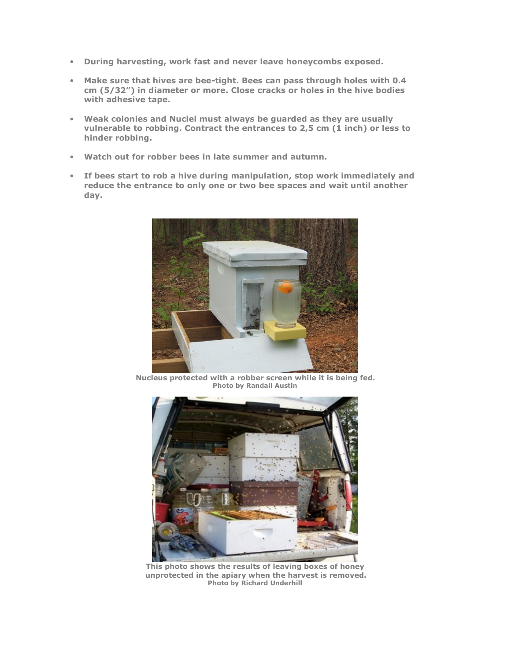- During harvesting, work fast and never leave honeycombs exposed.
- Make sure that hives are bee-tight. Bees can pass through holes with 0.4 cm (5/32") in diameter or more. Close cracks or holes in the hive bodies with adhesive tape.
- Weak colonies and Nuclei must always be guarded as they are usually vulnerable to robbing. Contract the entrances to 2,5 cm (1 inch) or less to hinder robbing.
- Watch out for robber bees in late summer and autumn.
- If bees start to rob a hive during manipulation, stop work immediately and reduce the entrance to only one or two bee spaces and wait until another day.



 Nucleus protected with a robber screen while it is being fed. Photo by Randall Austin



This photo shows the results of leaving boxes of honey unprotected in the apiary when the harvest is removed. Photo by Richard Underhill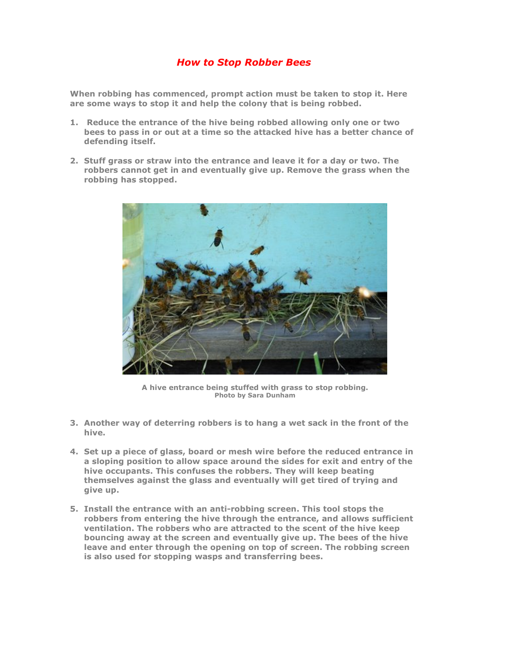#### How to Stop Robber Bees

When robbing has commenced, prompt action must be taken to stop it. Here are some ways to stop it and help the colony that is being robbed.

- 1. Reduce the entrance of the hive being robbed allowing only one or two bees to pass in or out at a time so the attacked hive has a better chance of defending itself.
- 2. Stuff grass or straw into the entrance and leave it for a day or two. The robbers cannot get in and eventually give up. Remove the grass when the robbing has stopped.



A hive entrance being stuffed with grass to stop robbing. Photo by Sara Dunham

- 3. Another way of deterring robbers is to hang a wet sack in the front of the hive.
- 4. Set up a piece of glass, board or mesh wire before the reduced entrance in a sloping position to allow space around the sides for exit and entry of the hive occupants. This confuses the robbers. They will keep beating themselves against the glass and eventually will get tired of trying and give up.
- 5. Install the entrance with an anti-robbing screen. This tool stops the robbers from entering the hive through the entrance, and allows sufficient ventilation. The robbers who are attracted to the scent of the hive keep bouncing away at the screen and eventually give up. The bees of the hive leave and enter through the opening on top of screen. The robbing screen is also used for stopping wasps and transferring bees.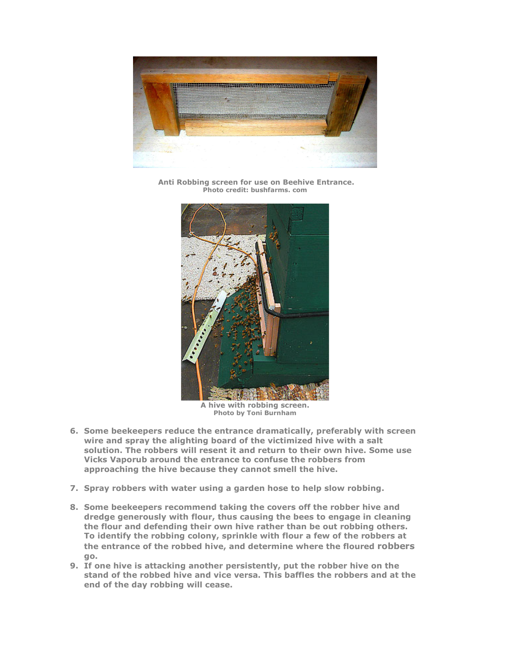

 Anti Robbing screen for use on Beehive Entrance. Photo credit: bushfarms. com



A hive with robbing screen. Photo by Toni Burnham

- 6. Some beekeepers reduce the entrance dramatically, preferably with screen wire and spray the alighting board of the victimized hive with a salt solution. The robbers will resent it and return to their own hive. Some use Vicks Vaporub around the entrance to confuse the robbers from approaching the hive because they cannot smell the hive.
- 7. Spray robbers with water using a garden hose to help slow robbing.
- 8. Some beekeepers recommend taking the covers off the robber hive and dredge generously with flour, thus causing the bees to engage in cleaning the flour and defending their own hive rather than be out robbing others. To identify the robbing colony, sprinkle with flour a few of the robbers at the entrance of the robbed hive, and determine where the floured robbers go.
- 9. If one hive is attacking another persistently, put the robber hive on the stand of the robbed hive and vice versa. This baffles the robbers and at the end of the day robbing will cease.